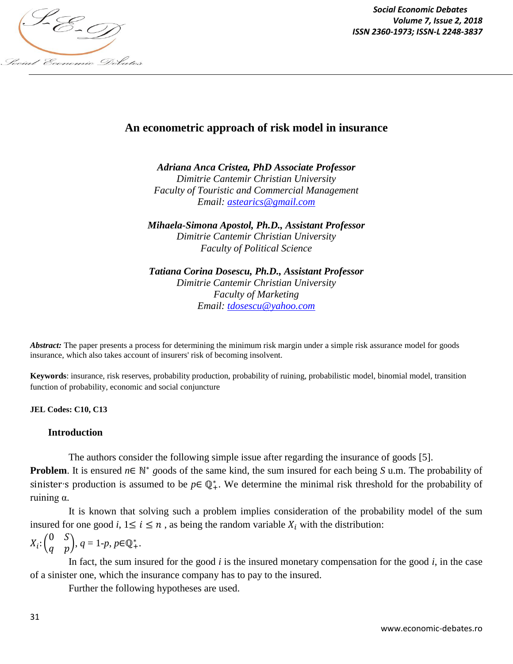

*Social Economic Debates Volume 7, Issue 2, 2018*

# **An econometric approach of risk model in insurance**

*Adriana Anca Cristea, PhD Associate Professor Dimitrie Cantemir Christian University Faculty of Touristic and Commercial Management Email: astearics@gmail.com*

*Mihaela-Simona Apostol, Ph.D., Assistant Professor Dimitrie Cantemir Christian University Faculty of Political Science*

*Tatiana Corina Dosescu, Ph.D., Assistant Professor Dimitrie Cantemir Christian University Faculty of Marketing Email: tdosescu@yahoo.com*

*Abstract:* The paper presents a process for determining the minimum risk margin under a simple risk assurance model for goods insurance, which also takes account of insurers' risk of becoming insolvent.

**Keywords**: insurance, risk reserves, probability production, probability of ruining, probabilistic model, binomial model, transition function of probability, economic and social conjuncture

**JEL Codes: C10, C13**

#### **Introduction**

The authors consider the following simple issue after regarding the insurance of goods [5]. **Problem**. It is ensured  $n \in \mathbb{N}^*$  goods of the same kind, the sum insured for each being *S* u.m. The probability of sinister's production is assumed to be  $p \in \mathbb{Q}_+^*$ . We determine the minimal risk threshold for the probability of ruining α.

It is known that solving such a problem implies consideration of the probability model of the sum insured for one good *i*,  $1 \le i \le n$ , as being the random variable  $X_i$  with the distribution:

$$
X_i: \begin{pmatrix} 0 & S \\ q & p \end{pmatrix}, \, q = 1 \cdot p, \, p \in \mathbb{Q}_+^*.
$$

In fact, the sum insured for the good *i* is the insured monetary compensation for the good *i*, in the case of a sinister one, which the insurance company has to pay to the insured.

Further the following hypotheses are used.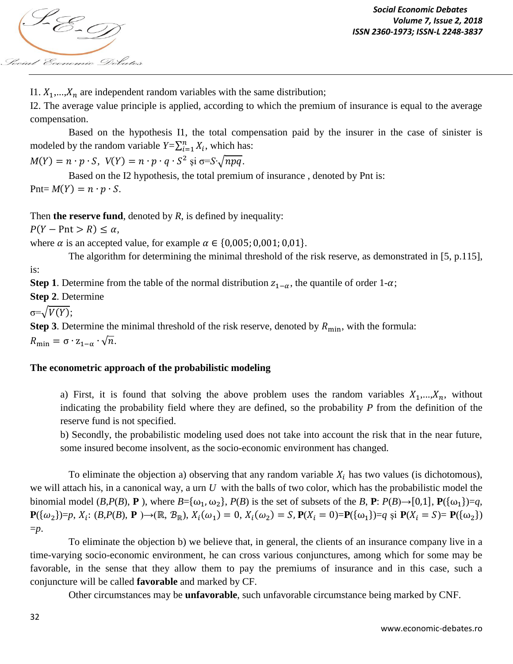

I1.  $X_1, \ldots, X_n$  are independent random variables with the same distribution;

I2. The average value principle is applied, according to which the premium of insurance is equal to the average compensation.

Based on the hypothesis I1, the total compensation paid by the insurer in the case of sinister is modeled by the random variable  $Y = \sum_{i=1}^{n} X_i$ , which has:

 $M(Y) = n \cdot p \cdot S$ ,  $V(Y) = n \cdot p \cdot q \cdot S^2$  și σ=*S*· $\sqrt{npq}$ .

Based on the I2 hypothesis, the total premium of insurance , denoted by Pnt is:  $Put = M(Y) = n \cdot p \cdot S.$ 

Then **the reserve fund**, denoted by *R*, is defined by inequality:

 $P(Y - Pnt > R) \leq \alpha$ ,

where  $\alpha$  is an accepted value, for example  $\alpha \in \{0,005,0,001,0,01\}.$ 

The algorithm for determining the minimal threshold of the risk reserve, as demonstrated in [5, p.115],

is:

**Step 1**. Determine from the table of the normal distribution  $z_{1-\alpha}$ , the quantile of order 1- $\alpha$ ;

**Step 2**. Determine

 $\sigma=\sqrt{V(Y)}$ ;

**Step 3**. Determine the minimal threshold of the risk reserve, denoted by  $R_{\text{min}}$ , with the formula:

 $R_{\min} = \sigma \cdot z_{1-\alpha} \cdot \sqrt{n}.$ 

# **The econometric approach of the probabilistic modeling**

a) First, it is found that solving the above problem uses the random variables  $X_1, \ldots, X_n$ , without indicating the probability field where they are defined, so the probability *P* from the definition of the reserve fund is not specified.

b) Secondly, the probabilistic modeling used does not take into account the risk that in the near future, some insured become insolvent, as the socio-economic environment has changed.

To eliminate the objection a) observing that any random variable  $X_i$  has two values (is dichotomous), we will attach his, in a canonical way, a urn *U* with the balls of two color, which has the probabilistic model the binomial model (*B*,*P*(*B*), **P**), where  $B = {\omega_1, \omega_2}$ , *P*(*B*) is the set of subsets of the *B*, **P**: *P*(*B*) $\rightarrow$ [0,1], **P**({ $\omega_1$ })=*q*, **P**({ω<sub>2</sub>})=*p*,  $X_i$ : (*B*, *P*(*B*), **P** )→(ℝ,  $B_{\mathbb{R}}$ ),  $X_i(\omega_1) = 0$ ,  $X_i(\omega_2) = S$ ,  $P(X_i = 0) = P(\{\omega_1\}) = q$  și  $P(X_i = S) = P(\{\omega_2\})$ =*p*.

To eliminate the objection b) we believe that, in general, the clients of an insurance company live in a time-varying socio-economic environment, he can cross various conjunctures, among which for some may be favorable, in the sense that they allow them to pay the premiums of insurance and in this case, such a conjuncture will be called **favorable** and marked by CF.

Other circumstances may be **unfavorable**, such unfavorable circumstance being marked by CNF.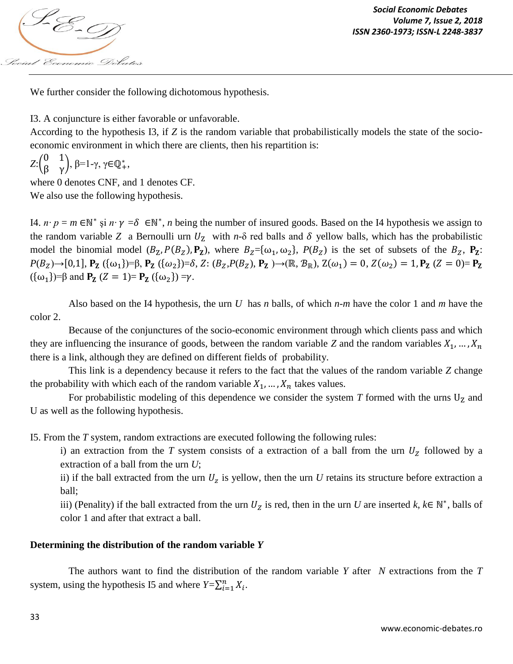

We further consider the following dichotomous hypothesis.

I3. A conjuncture is either favorable or unfavorable.

According to the hypothesis I3, if *Z* is the random variable that probabilistically models the state of the socioeconomic environment in which there are clients, then his repartition is:

$$
Z:\begin{pmatrix}0&1\\ \beta&\gamma\end{pmatrix},\ \beta=1-\gamma,\ \gamma\in\mathbb{Q}_+^*,
$$

where 0 denotes CNF, and 1 denotes CF. We also use the following hypothesis.

I4. *n⋅ p* = *m* ∈N<sup>\*</sup> și *n⋅ γ* = δ ∈N<sup>\*</sup>, *n* being the number of insured goods. Based on the I4 hypothesis we assign to the random variable *Z* a Bernoulli urn  $U_z$  with *n*- $\delta$  red balls and  $\delta$  yellow balls, which has the probabilistic model the binomial model  $(B_Z, P(B_Z), P_Z)$ , where  $B_Z = {\omega_1, \omega_2}$ ,  $P(B_Z)$  is the set of subsets of the  $B_Z$ ,  $P_Z$ :  $P(B_Z) \rightarrow [0,1], \mathbf{P_Z} (\{\omega_1\}) = \beta, \mathbf{P_Z} (\{\omega_2\}) = \delta, Z : (B_Z, P(B_Z), \mathbf{P_Z}) \rightarrow (\mathbb{R}, \mathcal{B}_{\mathbb{R}}), Z(\omega_1) = 0, Z(\omega_2) = 1, \mathbf{P_Z} (Z = 0) = \mathbf{P_Z}$  $({\omega_1})=\beta$  and  $P_Z$   $(Z = 1) = P_Z$   $({\omega_2}) = \gamma$ .

Also based on the I4 hypothesis, the urn *U* has *n* balls, of which *n-m* have the color 1 and *m* have the color 2.

Because of the conjunctures of the socio-economic environment through which clients pass and which they are influencing the insurance of goods, between the random variable *Z* and the random variables  $X_1, ..., X_n$ there is a link, although they are defined on different fields of probability.

This link is a dependency because it refers to the fact that the values of the random variable *Z* change the probability with which each of the random variable  $X_1, \ldots, X_n$  takes values.

For probabilistic modeling of this dependence we consider the system  $T$  formed with the urns  $U<sub>Z</sub>$  and U as well as the following hypothesis.

I5. From the *T* system, random extractions are executed following the following rules:

i) an extraction from the *T* system consists of a extraction of a ball from the urn  $U_z$  followed by a extraction of a ball from the urn *U*;

ii) if the ball extracted from the urn  $U_z$  is yellow, then the urn  $U$  retains its structure before extraction a ball;

iii) (Penality) if the ball extracted from the urn  $U_z$  is red, then in the urn *U* are inserted *k*,  $k \in \mathbb{N}^*$ , balls of color 1 and after that extract a ball.

# **Determining the distribution of the random variable** *Y*

The authors want to find the distribution of the random variable *Y* after *N* extractions from the *T* system, using the hypothesis I5 and where  $Y = \sum_{i=1}^{n} X_i$ .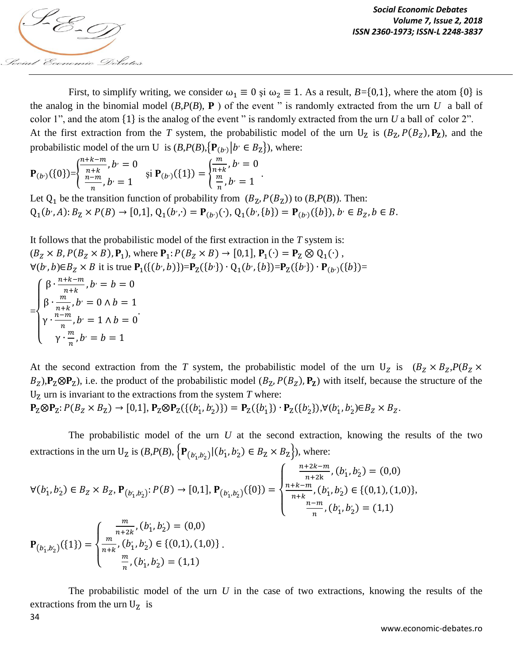

First, to simplify writing, we consider  $\omega_1 \equiv 0$  si  $\omega_2 \equiv 1$ . As a result, *B*={0,1}, where the atom {0} is the analog in the binomial model  $(B, P(B), P)$  of the event " is randomly extracted from the urn *U* a ball of color 1", and the atom  $\{1\}$  is the analog of the event " is randomly extracted from the urn *U* a ball of color 2". At the first extraction from the *T* system, the probabilistic model of the urn  $U_z$  is  $(B_z, P(B_z), P_z)$ , and the probabilistic model of the urn U is  $(B, P(B), {P_{(b)} | b' \in B_Z}$ , where:

$$
\mathbf{P}_{(b\cdot)}(\{0\}) = \begin{cases} \frac{n+k-m}{n+k}, b = 0 \\ \frac{n-m}{n}, b = 1 \end{cases} \quad \text{si } \mathbf{P}_{(b\cdot)}(\{1\}) = \begin{cases} \frac{m}{n+k}, b = 0 \\ \frac{m}{n}, b = 1 \end{cases}.
$$

Let  $Q_1$  be the transition function of probability from  $(B_Z, P(B_Z))$  to  $(B, P(B))$ . Then:  $Q_1(b', A)$ :  $B_Z \times P(B) \rightarrow [0, 1], Q_1(b', \cdot) = P_{(b')}(\cdot), Q_1(b', \{b\}) = P_{(b')}(\{b\}), b'$ 

It follows that the probabilistic model of the first extraction in the *T* system is:  $(B_Z \times B, P(B_Z \times B), P_1)$ , where  $P_1$ :  $P(B_Z \times B) \rightarrow [0,1], P_1(\cdot) = P_Z \otimes Q_1(\cdot)$ ,  $\forall (b', b) \in B_Z \times B$  it is true  $P_1(\{(b', b)\}) = P_Z(\{b'\}) \cdot Q_1(b', \{b\}) = P_Z(\{b'\}) \cdot P_{(b')}(\{b\}) =$ =  $\overline{\mathcal{L}}$  $\mathbf{I}$  $\mathbf{I}$  $\overline{1}$  $\int \beta \cdot \frac{n}{n}$  $\frac{+k-m}{n+k}$ , b<sup>,</sup>  $\beta \cdot \frac{m}{\cdots}$  $\frac{m}{n+k}$ , b<sup>,</sup>  $\gamma \cdot \frac{n}{2}$  $\frac{-m}{n}$  ,  $b^{\prime}$  $\gamma \cdot \frac{m}{n}$  $\frac{m}{n}$ , b .

At the second extraction from the *T* system, the probabilistic model of the urn  $U_z$  is  $(B_z \times B_z, P(B_z \times B_z))$  $B_z$ ),  $P_z \otimes P_z$ ), i.e. the product of the probabilistic model  $(B_z, P(B_z), P_z)$  with itself, because the structure of the  $U<sub>Z</sub>$  urn is invariant to the extractions from the system  $T$  where:

 ${\bf P}_Z \otimes {\bf P}_Z : P(B_Z \times B_Z) \rightarrow [0,1], {\bf P}_Z \otimes {\bf P}_Z (\{(b'_1, b'_2)\}) = {\bf P}_Z (\{b'_1\}) \cdot {\bf P}_Z (\{b'_2\}), \forall (b'_1, b'_2) \in B_Z \times B_Z.$ 

The probabilistic model of the urn *U* at the second extraction, knowing the results of the two extractions in the urn U<sub>Z</sub> is  $(B, P(B), \{P_{(b_1', b_2')}| (b_1', b_2') \in B_Z \times B_Z \}$ , where:

$$
\forall (b'_1, b'_2) \in B_Z \times B_Z, \mathbf{P}_{(b'_1, b'_2)}: P(B) \to [0, 1], \mathbf{P}_{(b'_1, b'_2)}(\{0\}) = \begin{cases} \frac{n+2k-m}{n+2k}, (b'_1, b'_2) = (0, 0) \\ \frac{n+k-m}{n+k}, (b'_1, b'_2) \in \{(0, 1), (1, 0)\}, \\ \frac{n-m}{n}, (b'_1, b'_2) = (1, 1) \end{cases}
$$

$$
\mathbf{P}_{(b'_1, b'_2)}(\{1\}) = \begin{cases} \frac{m}{n+k}, (b'_1, b'_2) = (0, 0) \\ \frac{m}{n+k}, (b'_1, b'_2) = (0, 0) \\ \frac{m}{n}, (b'_1, b'_2) = (1, 1) \end{cases}
$$

The probabilistic model of the urn *U* in the case of two extractions, knowing the results of the extractions from the urn  $U<sub>Z</sub>$  is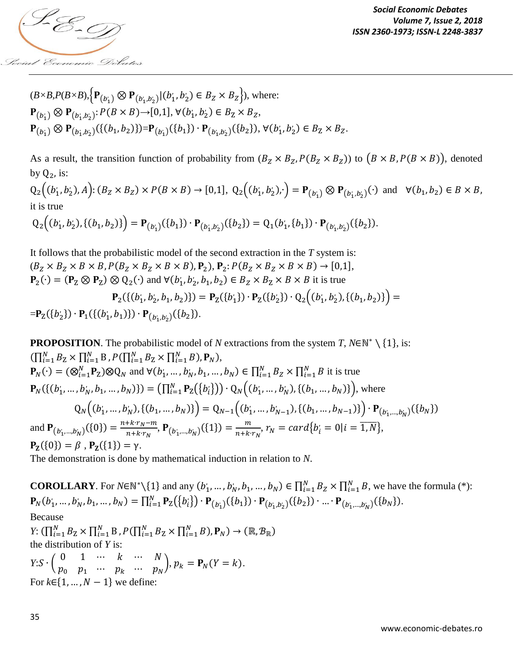

$$
(B \times B, P(B \times B), \{P_{(b'_1)} \otimes P_{(b'_1, b'_2)} | (b'_1, b'_2) \in B_Z \times B_Z \}), \text{ where:}
$$
  
\n
$$
P_{(b'_1)} \otimes P_{(b'_1, b'_2)} : P(B \times B) \to [0, 1], \forall (b'_1, b'_2) \in B_Z \times B_Z,
$$
  
\n
$$
P_{(b'_1)} \otimes P_{(b'_1, b'_2)} (\{(b_1, b_2)\}) = P_{(b'_1)} (\{b_1\}) \cdot P_{(b'_1, b'_2)} (\{b_2\}), \forall (b'_1, b'_2) \in B_Z \times B_Z.
$$

As a result, the transition function of probability from  $(B_Z \times B_Z, P(B_Z \times B_Z))$  to  $(B \times B, P(B \times B))$ , denoted by  $Q_2$ , is:

 $Q_2((b'_1, b'_2), A) : (B_Z \times B_Z) \times P(B \times B) \to [0, 1], Q_2((b'_1, b'_2), \cdot) = P_{(b'_1)} \otimes P_{(b'_1, b'_2)}(\cdot)$  and  $\forall (b_1, b_2) \in$ it is true

$$
Q_2((b'_1, b'_2), \{(b_1, b_2)\}) = P_{(b'_1)}(\{b_1\}) \cdot P_{(b'_1, b'_2)}(\{b_2\}) = Q_1(b'_1, \{b_1\}) \cdot P_{(b'_1, b'_2)}(\{b_2\}).
$$

It follows that the probabilistic model of the second extraction in the *T* system is:  $(B_Z \times B_Z \times B \times B, P(B_Z \times B_Z \times B \times B), P_2), P_2: P(B_Z \times B_Z \times B \times B) \rightarrow [0,1],$  $P_2(\cdot) = (P_{Z} \otimes P_{Z}) \otimes Q_2(\cdot)$  and  $\forall (b'_1, b'_2, b_1, b_2) \in B_Z \times B_Z \times B \times B$  it is true  ${\bf P}_2(\{(b'_1, b'_2, b_1, b_2)\}) = {\bf P}_2(\{b'_1\}) \cdot {\bf P}_2(\{b'_2\}) \cdot {\bf Q}_2((b'_1, b'_2), \{(b_1, b_2)\}) =$  $= P_{Z}(\{b'_{2}\}) \cdot P_{1}(\{(b'_{1}, b_{1})\}) \cdot P_{(b'_{1}, b'_{2})}(\{b_{2}\}).$ 

**PROPOSITION**. The probabilistic model of *N* extractions from the system *T*,  $N \in \mathbb{N}^* \setminus \{1\}$ , is:  $(\prod_{i=1}^{N} B_{Z} \times \prod_{i=1}^{N} B, P(\prod_{i=1}^{N} B_{Z} \times \prod_{i=1}^{N} B), P_{N}),$  $\mathbf{P}_N(\cdot) = (\otimes_{i=1}^N \mathbf{P}_Z) \otimes Q_N$  and  $\forall (b'_1, \dots, b'_N, b_1, \dots, b_N) \in \prod_{i=1}^N B_z \times \prod_{i=1}^N B$  it is true  ${\bf P}_N(\{(b_1',...,b_N',b_1,...,b_N)\}) = \left(\prod_{i=1}^N {\bf P}_{\rm Z}(\{b_i'\})\right) \cdot Q_N((b_1',...,b_N'),\{(b_1,...,b_N)\})$ , where  $Q_N((b'_1, ..., b'_N), \{(b_1, ..., b_N)\}) = Q_{N-1}((b'_1, ..., b'_{N-1}), \{(b_1, ..., b_{N-1})\}) \cdot P_{(b'_1, ..., b'_N)}(\{b_N\})$ and  $P_{(b'_1,...,b'_N)}(\{0\}) = \frac{n}{n}$  $\frac{1+k\cdot r_N-m}{n+k\cdot r_N}$ ,  $\mathbf{P}_{(b'_1,...,b'_N)}(\{1\}) = \frac{m}{n+k}$  $\frac{m}{n+k\cdot r_N}$ ,  $r_N = card\{b_i = 0 | i = \overline{1,N}\},\,$  $P_{Z}(\{0\}) = \beta$ ,  $P_{Z}(\{1\}) = \gamma$ .

The demonstration is done by mathematical induction in relation to *N*.

**COROLLARY**. For  $N \in \mathbb{N}^* \setminus \{1\}$  and any  $(b'_1, ..., b'_N, b_1, ..., b_N) \in \prod_{i=1}^N B_z \times \prod_{i=1}^N B_i$ , we have the formula (\*):  $\mathbf{P}_N(b'_1, ..., b'_N, b_1, ..., b_N) = \prod_{i=1}^N \mathbf{P}_\mathbf{Z}(\{b'_i\}) \cdot \mathbf{P}_{(b'_1)}(\{b_1\}) \cdot \mathbf{P}_{(b'_1, b'_2)}(\{b_2\}) \cdot ... \cdot \mathbf{P}_{(b'_1, ..., b'_N)}(\{b_N\}).$ Because *Y*:  $(\prod_{i=1}^{N} B_{\mathbf{Z}} \times \prod_{i=1}^{N} B_{i}, P(\prod_{i=1}^{N} B_{\mathbf{Z}} \times \prod_{i=1}^{N} B_{i}), \mathbf{P}_{N}) \rightarrow (\mathbb{R}, \mathcal{B}_{\mathbb{R}})$ the distribution of *Y* is:  $Y: S \cdot \begin{pmatrix} 0 \\ n \end{pmatrix}$  $\overline{p}$ ... ... ...  $\cdots p_N$ ,  $p_k = P_N(Y = k)$ . For  $k \in \{1, ..., N-1\}$  we define: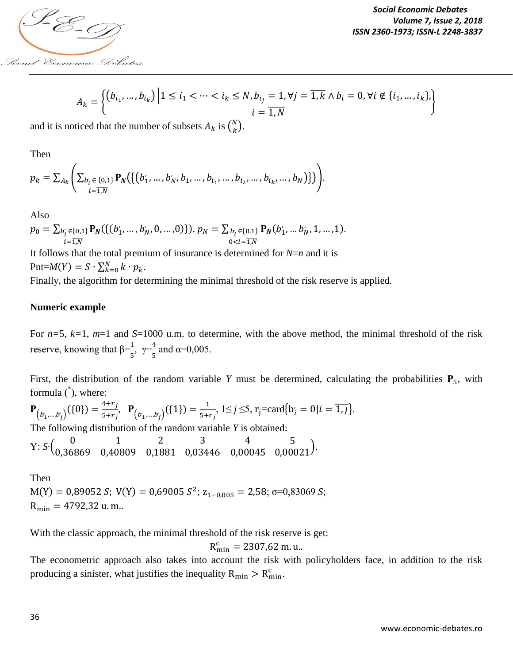

$$
A_k = \left\{ \begin{pmatrix} b_{i_1}, \dots, b_{i_k} \end{pmatrix} \Big| 1 \le i_1 < \dots < i_k \le N, b_{i_j} = 1, \forall j = \overline{1, k} \land b_i = 0, \forall i \notin \{i_1, \dots, i_k\}, \begin{cases} i = \overline{1, N} \end{cases} \right\}
$$

and it is noticed that the number of subsets  $A_k$  is  $\binom{N}{k}$  $\binom{N}{k}$ .

Then

$$
p_k = \sum_{A_k} \Biggl( \sum_{\substack{b'_i \in \{0,1\} \\ i = \overline{1,N}}} \mathbf{P}_N \biggl( \biggl\{ \bigl( b'_1, \ldots, b'_N, b_1, \ldots, b_{i_1}, \ldots, b_{i_2}, \ldots, b_{i_k}, \ldots, b_N \bigr) \biggr\} \Biggr).
$$

Also

$$
p_0 = \sum_{\substack{b'_i \in \{0,1\} \\ i = \overline{1,N}}} \mathbf{P}_N(\{(b'_1, \ldots, b'_N, 0, \ldots, 0)\}), p_N = \sum_{\substack{b'_i \in \{0,1\} \\ 0 < i = \overline{1,N}}} \mathbf{P}_N(b'_1, \ldots b'_N, 1, \ldots, 1).
$$

It follows that the total premium of insurance is determined for *N*=*n* and it is Pnt= $M(Y) = S \cdot \sum_{k=0}^{N} k \cdot p_k$ .

Finally, the algorithm for determining the minimal threshold of the risk reserve is applied.

#### **Numeric example**

For *n=*5, *k=*1, *m*=1 and *S*=1000 u.m. to determine, with the above method, the minimal threshold of the risk reserve, knowing that  $\beta = \frac{1}{5}$ ,  $\gamma = \frac{4}{5}$  $\frac{4}{5}$  and α=0,005.

First, the distribution of the random variable *Y* must be determined, calculating the probabilities  $P_5$ , with formula (\* ), where:

$$
\mathbf{P}_{(b'_1,\dots,b'_j)}(\{0\}) = \frac{4+r_j}{5+r_j}, \quad \mathbf{P}_{(b'_1,\dots,b'_j)}(\{1\}) = \frac{1}{5+r_j}, \quad 1 \le j \le 5, \quad r_j = \text{card}\{b'_i = 0 | i = \overline{1,j}\}.
$$

The following distribution of the random variable *Y* is obtained:

$$
\mathrm{Y}\text{: }S\text{: } \Big(\begin{matrix}0&1&2&3&4&5\\0.36869&0.40809&0.1881&0.03446&0.00045&0.00021\end{matrix}\Big).
$$

Then  $M(Y) = 0.89052 S$ ;  $V(Y) = 0.69005 S^2$ ;  $z_{1-0.005} = 2.58$ ;  $\sigma = 0.83069 S$ ;  $R_{\text{min}} = 4792,32$  u.m..

With the classic approach, the minimal threshold of the risk reserve is get:

$$
R_{\text{min}}^{\text{c}} = 2307,62 \text{ m}.
$$
 u...

The econometric approach also takes into account the risk with policyholders face, in addition to the risk producing a sinister, what justifies the inequality  $R_{min} > R_{min}^c$ .